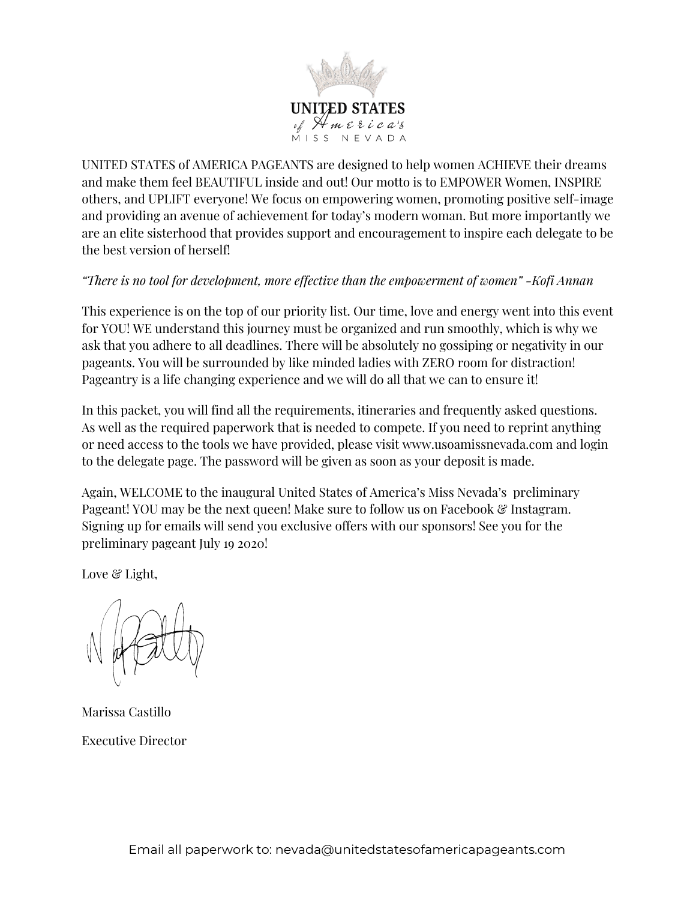

UNITED STATES of AMERICA PAGEANTS are designed to help women ACHIEVE their dreams and make them feel BEAUTIFUL inside and out! Our motto is to EMPOWER Women, INSPIRE others, and UPLIFT everyone! We focus on empowering women, promoting positive self-image and providing an avenue of achievement for today's modern woman. But more importantly we are an elite sisterhood that provides support and encouragement to inspire each delegate to be the best version of herself!

# *"There is no tool for development, more effective than the empowerment of women" -Kofi Annan*

This experience is on the top of our priority list. Our time, love and energy went into this event for YOU! WE understand this journey must be organized and run smoothly, which is why we ask that you adhere to all deadlines. There will be absolutely no gossiping or negativity in our pageants. You will be surrounded by like minded ladies with ZERO room for distraction! Pageantry is a life changing experience and we will do all that we can to ensure it!

In this packet, you will find all the requirements, itineraries and frequently asked questions. As well as the required paperwork that is needed to compete. If you need to reprint anything or need access to the tools we have provided, please visit www.usoamissnevada.com and login to the delegate page. The password will be given as soon as your deposit is made.

Again, WELCOME to the inaugural United States of America's Miss Nevada's preliminary Pageant! YOU may be the next queen! Make sure to follow us on Facebook & Instagram. Signing up for emails will send you exclusive offers with our sponsors! See you for the preliminary pageant July 19 2020!

Love & Light,

Marissa Castillo Executive Director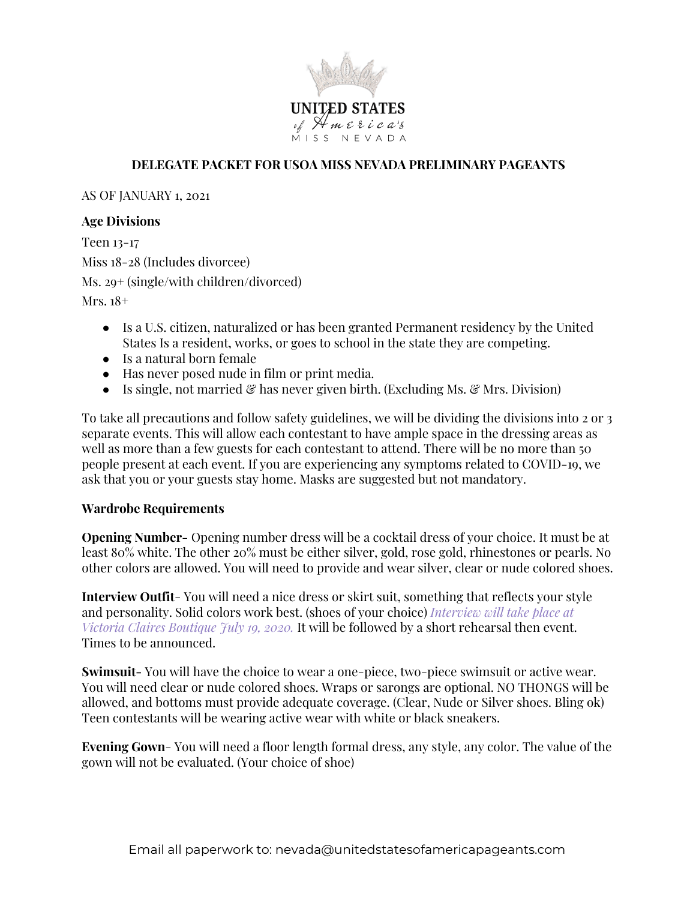

## **DELEGATE PACKET FOR USOA MISS NEVADA PRELIMINARY PAGEANTS**

AS OF JANUARY 1, 2021

### **Age Divisions**

Teen 13-17 Miss 18-28 (Includes divorcee) Ms. 29+ (single/with children/divorced) Mrs. 18+

- Is a U.S. citizen, naturalized or has been granted Permanent residency by the United States Is a resident, works, or goes to school in the state they are competing.
- Is a natural born female
- Has never posed nude in film or print media.
- Is single, not married  $\mathcal{C}$  has never given birth. (Excluding Ms.  $\mathcal{C}$  Mrs. Division)

To take all precautions and follow safety guidelines, we will be dividing the divisions into 2 or 3 separate events. This will allow each contestant to have ample space in the dressing areas as well as more than a few guests for each contestant to attend. There will be no more than 50 people present at each event. If you are experiencing any symptoms related to COVID-19, we ask that you or your guests stay home. Masks are suggested but not mandatory.

#### **Wardrobe Requirements**

**Opening Number**- Opening number dress will be a cocktail dress of your choice. It must be at least 80% white. The other 20% must be either silver, gold, rose gold, rhinestones or pearls. No other colors are allowed. You will need to provide and wear silver, clear or nude colored shoes.

**Interview Outfit**- You will need a nice dress or skirt suit, something that reflects your style and personality. Solid colors work best. (shoes of your choice) *Interview will take place at Victoria Claires Boutique July 19, 2020.* It will be followed by a short rehearsal then event. Times to be announced.

**Swimsuit-** You will have the choice to wear a one-piece, two-piece swimsuit or active wear. You will need clear or nude colored shoes. Wraps or sarongs are optional. NO THONGS will be allowed, and bottoms must provide adequate coverage. (Clear, Nude or Silver shoes. Bling ok) Teen contestants will be wearing active wear with white or black sneakers.

**Evening Gown**- You will need a floor length formal dress, any style, any color. The value of the gown will not be evaluated. (Your choice of shoe)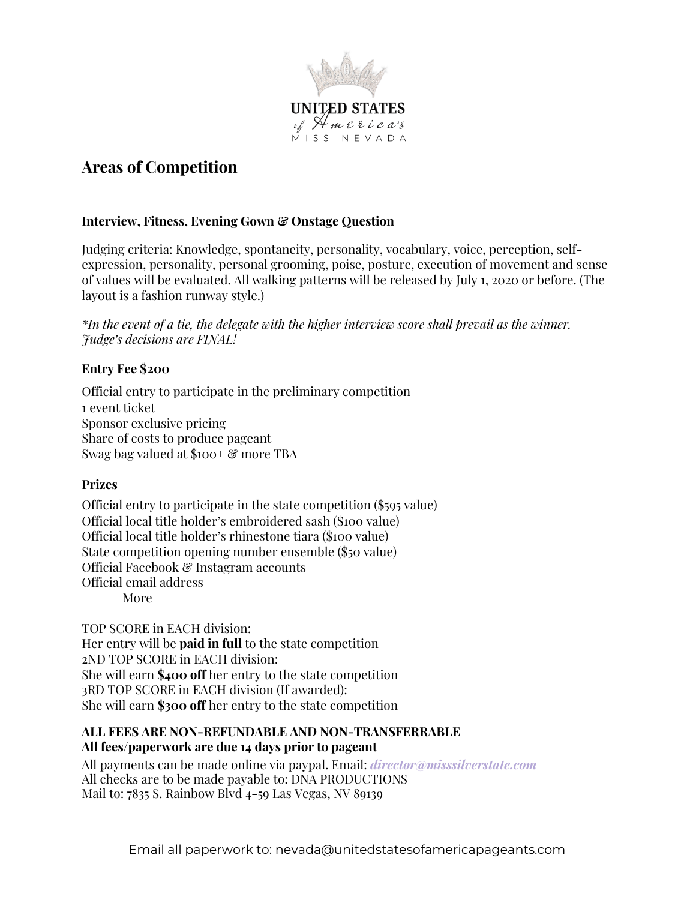

# **Areas of Competition**

## **Interview, Fitness, Evening Gown & Onstage Question**

Judging criteria: Knowledge, spontaneity, personality, vocabulary, voice, perception, selfexpression, personality, personal grooming, poise, posture, execution of movement and sense of values will be evaluated. All walking patterns will be released by July 1, 2020 or before. (The layout is a fashion runway style.)

*\*In the event of a tie, the delegate with the higher interview score shall prevail as the winner. Judge's decisions are FINAL!*

# **Entry Fee \$200**

Official entry to participate in the preliminary competition 1 event ticket Sponsor exclusive pricing Share of costs to produce pageant Swag bag valued at \$100+ & more TBA

## **Prizes**

Official entry to participate in the state competition (\$595 value) Official local title holder's embroidered sash (\$100 value) Official local title holder's rhinestone tiara (\$100 value) State competition opening number ensemble (\$50 value) Official Facebook & Instagram accounts Official email address

+ More

TOP SCORE in EACH division: Her entry will be **paid in full** to the state competition 2ND TOP SCORE in EACH division: She will earn **\$400 off** her entry to the state competition 3RD TOP SCORE in EACH division (If awarded): She will earn **\$300 off** her entry to the state competition

# **ALL FEES ARE NON-REFUNDABLE AND NON-TRANSFERRABLE All fees/paperwork are due 14 days prior to pageant**

All payments can be made online via paypal. Email: *director@misssilverstate.com* All checks are to be made payable to: DNA PRODUCTIONS Mail to: 7835 S. Rainbow Blvd 4-59 Las Vegas, NV 89139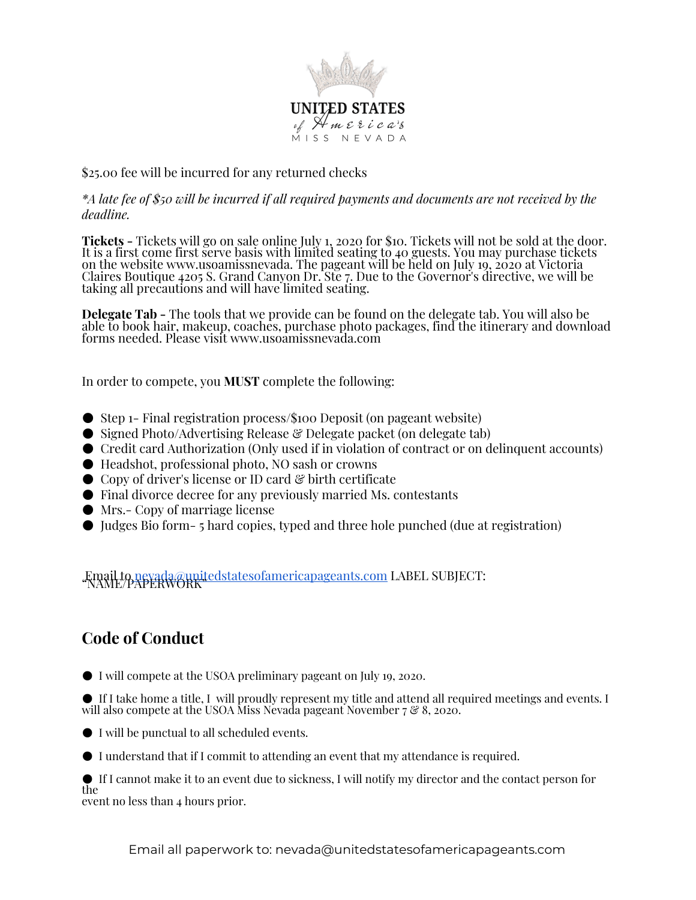

\$25.00 fee will be incurred for any returned checks

#### \*A late fee of \$50 will be incurred if all required payments and documents are not received by the *deadline.*

**Tickets -** Tickets will go on sale online July 1, 2020 for \$10. Tickets will not be sold at the door. It is a first come first serve basis with limited seating to 40 guests. You may purchase tickets on the website www.usoamissnevada. The pageant will be held on July 19, 2020 at Victoria Claires Boutique 4205 S. Grand Canyon Dr. Ste 7. Due to the Governor's directive, we will be taking all precautions and will have limited seating.

**Delegate Tab -** The tools that we provide can be found on the delegate tab. You will also be able to book hair, makeup, coaches, purchase photo packages, find the itinerary and download forms needed. Please visit www.usoamissnevada.com

In order to compete, you **MUST** complete the following:

- Step 1- Final registration process/\$100 Deposit (on pageant website)
- Signed Photo/Advertising Release & Delegate packet (on delegate tab)
- Credit card Authorization (Only used if in violation of contract or on delinquent accounts)
- Headshot, professional photo, NO sash or crowns
- Copy of driver's license or ID card & birth certificate
- Final divorce decree for any previously married Ms. contestants
- Mrs.- Copy of marriage license
- Judges Bio form- 5 hard copies, typed and three hole punched (due at registration)

Email to [nevada@unitedstatesofamericapageants.com](mailto:nevada@unitedstatesofamericapageants.com) LABEL SUBJECT: "NAME/PAPERWORK"

# **Code of Conduct**

● I will compete at the USOA preliminary pageant on July 19, 2020.

● If I take home a title, I will proudly represent my title and attend all required meetings and events. I will also compete at the USOA Miss Nevada pageant November 7 & 8, 2020.

- I will be punctual to all scheduled events.
- I understand that if I commit to attending an event that my attendance is required.

● If I cannot make it to an event due to sickness, I will notify my director and the contact person for the event no less than 4 hours prior.

Email all paperwork to: nevada@unitedstatesofamericapageants.com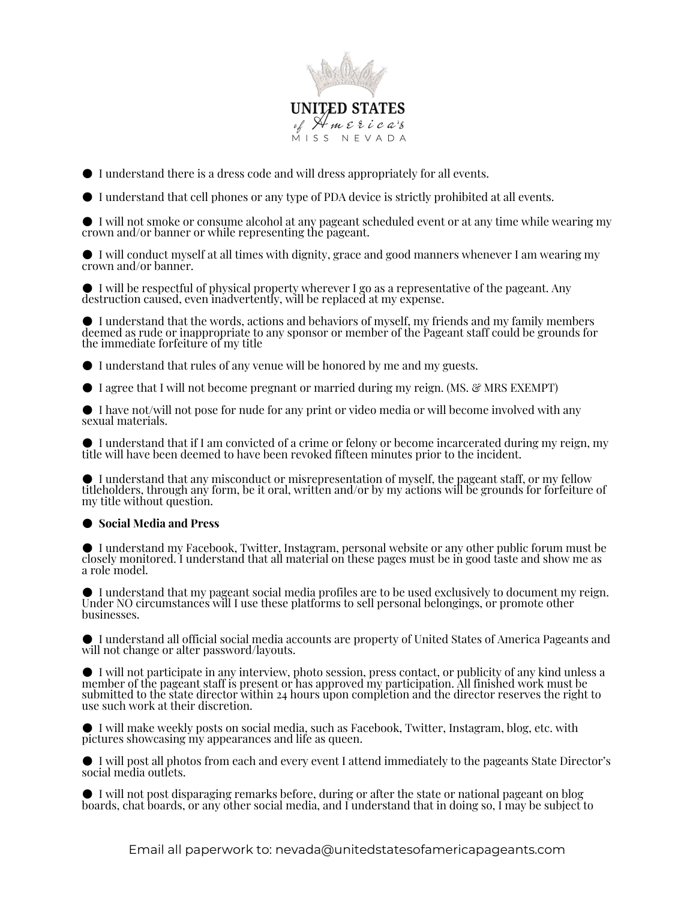

● I understand there is a dress code and will dress appropriately for all events.

● I understand that cell phones or any type of PDA device is strictly prohibited at all events.

● I will not smoke or consume alcohol at any pageant scheduled event or at any time while wearing my crown and/or banner or while representing the pageant.

● I will conduct myself at all times with dignity, grace and good manners whenever I am wearing my crown and/or banner.

● I will be respectful of physical property wherever I go as a representative of the pageant. Any destruction caused, even inadvertently, will be replaced at my expense.

● I understand that the words, actions and behaviors of myself, my friends and my family members deemed as rude or inappropriate to any sponsor or member of the Pageant staff could be grounds for the immediate forfeiture of my title

● I understand that rules of any venue will be honored by me and my guests.

● I agree that I will not become pregnant or married during my reign. (MS. & MRS EXEMPT)

● I have not/will not pose for nude for any print or video media or will become involved with any sexual materials.

● I understand that if I am convicted of a crime or felony or become incarcerated during my reign, my title will have been deemed to have been revoked fifteen minutes prior to the incident.

● I understand that any misconduct or misrepresentation of myself, the pageant staff, or my fellow titleholders, through any form, be it oral, written and/or by my actions will be grounds for forfeiture of my title without question.

#### ● **Social Media and Press**

● I understand my Facebook, Twitter, Instagram, personal website or any other public forum must be closely monitored. I understand that all material on these pages must be in good taste and show me as a role model.

● I understand that my pageant social media profiles are to be used exclusively to document my reign. Under NO circumstances will I use these platforms to sell personal belongings, or promote other businesses.

● I understand all official social media accounts are property of United States of America Pageants and will not change or alter password/layouts.

● I will not participate in any interview, photo session, press contact, or publicity of any kind unless a member of the pageant staff is present or has approved my participation. All finished work must be submitted to the state director within 24 hours upon completion and the director reserves the right to use such work at their discretion.

● I will make weekly posts on social media, such as Facebook, Twitter, Instagram, blog, etc. with pictures showcasing my appearances and life as queen.

● I will post all photos from each and every event I attend immediately to the pageants State Director's social media outlets.

● I will not post disparaging remarks before, during or after the state or national pageant on blog boards, chat boards, or any other social media, and I understand that in doing so, I may be subject to

Email all paperwork to: nevada@unitedstatesofamericapageants.com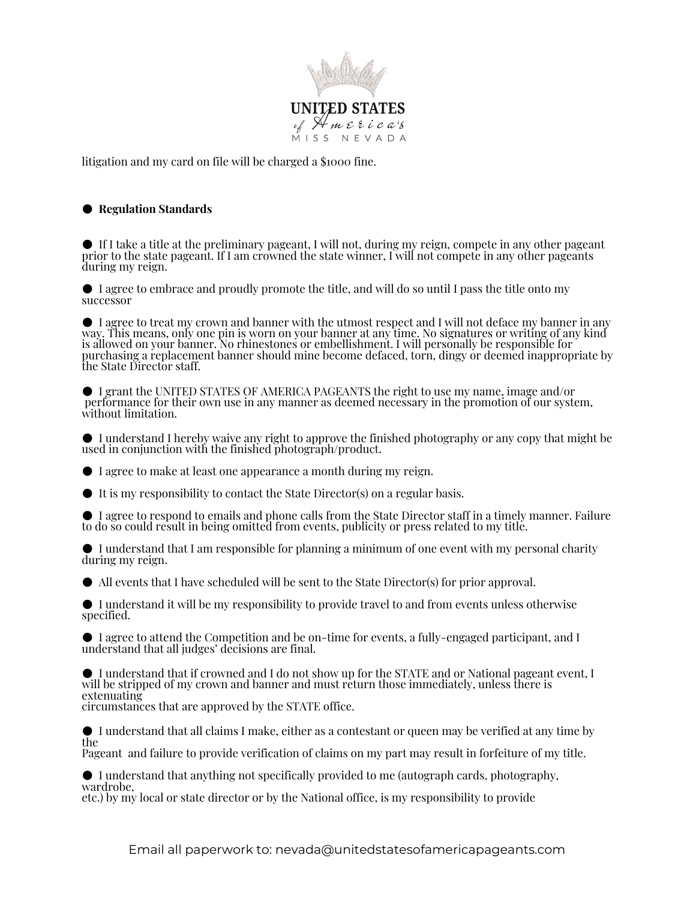

litigation and my card on file will be charged a \$1000 fine.

#### ● **Regulation Standards**

 $\bullet$  If I take a title at the preliminary pageant, I will not, during my reign, compete in any other pageant prior to the state pageant. If I am crowned the state winner, I will not compete in any other pageants during my reign.

● I agree to embrace and proudly promote the title, and will do so until I pass the title onto my successor

● I agree to treat my crown and banner with the utmost respect and I will not deface my banner in any way. This means, only one pin is worn on your banner at any time. No signatures or writing of any kind is allowed on your banner. No rhinestones or embellishment. I will personally be responsible for purchasing a replacement banner should mine become defaced, torn, dingy or deemed inappropriate by the State Director staff.

● I grant the UNITED STATES OF AMERICA PAGEANTS the right to use my name, image and/or performance for their own use in any manner as deemed necessary in the promotion of our system, without limitation.

● I understand I hereby waive any right to approve the finished photography or any copy that might be used in conjunction with the finished photograph/product.

● I agree to make at least one appearance a month during my reign.

 $\bullet$  It is my responsibility to contact the State Director(s) on a regular basis.

● I agree to respond to emails and phone calls from the State Director staff in a timely manner. Failure to do so could result in being omitted from events, publicity or press related to my title.

● I understand that I am responsible for planning a minimum of one event with my personal charity during my reign.

● All events that I have scheduled will be sent to the State Director(s) for prior approval.

● I understand it will be my responsibility to provide travel to and from events unless otherwise specified.

● I agree to attend the Competition and be on-time for events, a fully-engaged participant, and I understand that all judges' decisions are final.

● I understand that if crowned and I do not show up for the STATE and or National pageant event, I will be stripped of my crown and banner and must return those immediately, unless there is extenuating circumstances that are approved by the STATE office.

● I understand that all claims I make, either as a contestant or queen may be verified at any time by the

Pageant and failure to provide verification of claims on my part may result in forfeiture of my title.

● I understand that anything not specifically provided to me (autograph cards, photography, wardrobe,

etc.) by my local or state director or by the National office, is my responsibility to provide